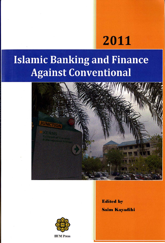# 2011

### **Islamic Banking and Finance Against Conventional**





**IIUM** Press

**Edited by Saim Kayadibi**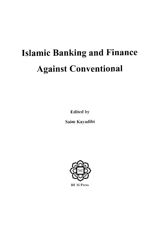## **Islamic Banking and Finance Against Conventional**

**Edited by** 

Saim Kayadibi



**IIUM Press**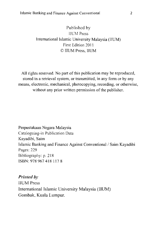#### Published by **HUM Press** International Islamic University Malaysia (IIUM) First Edition 2011 © IIUM Press. IIUM

All rights reserved. No part of this publication may be reproduced. stored in a retrieval system, or transmitted, in any form or by any means, electronic, mechanical, photocopying, recording, or otherwise, without any prior written permission of the publisher.

Perpustakaan Negara Malaysia Cataloguing-in Publication Data Kayadibi, Saim Islamic Banking and Finance Against Conventional / Saim Kayadibi Pages: 229 Bibliography: p. 218 ISBN: 978 967 418 1178

**Printed by IIUM** Press International Islamic University Malaysia (IIUM) Gombak, Kuala Lumpur.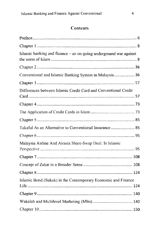### Contents

| Islamic banking and finance - an on-going underground war against |  |
|-------------------------------------------------------------------|--|
|                                                                   |  |
| Conventional and Islamic Banking System in Malaysia 36            |  |
|                                                                   |  |
| Differences between Islamic Credit Card and Conventional Credit   |  |
|                                                                   |  |
|                                                                   |  |
|                                                                   |  |
| Takaful As an Alternative to Conventional Insurance  85           |  |
|                                                                   |  |
| Malaysia Airline And Airasia Share-Swap Deal: In Islamic          |  |
|                                                                   |  |
|                                                                   |  |
|                                                                   |  |
| Islamic Bond (Sukuk) in the Contemporary Economic and Finance     |  |
|                                                                   |  |
|                                                                   |  |
|                                                                   |  |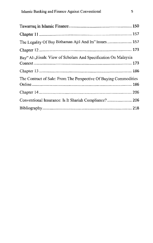| The Legality Of Bay Bithaman Ajil And Its" Issues 157            |
|------------------------------------------------------------------|
|                                                                  |
| Bay" Al-, Einah: View of Scholars And Specification On Malaysia  |
|                                                                  |
|                                                                  |
| The Contract of Sale: From The Perspective Of Buying Commodities |
|                                                                  |
|                                                                  |
| Conventional Insurance: Is It Shariah Compliance? 206            |
|                                                                  |